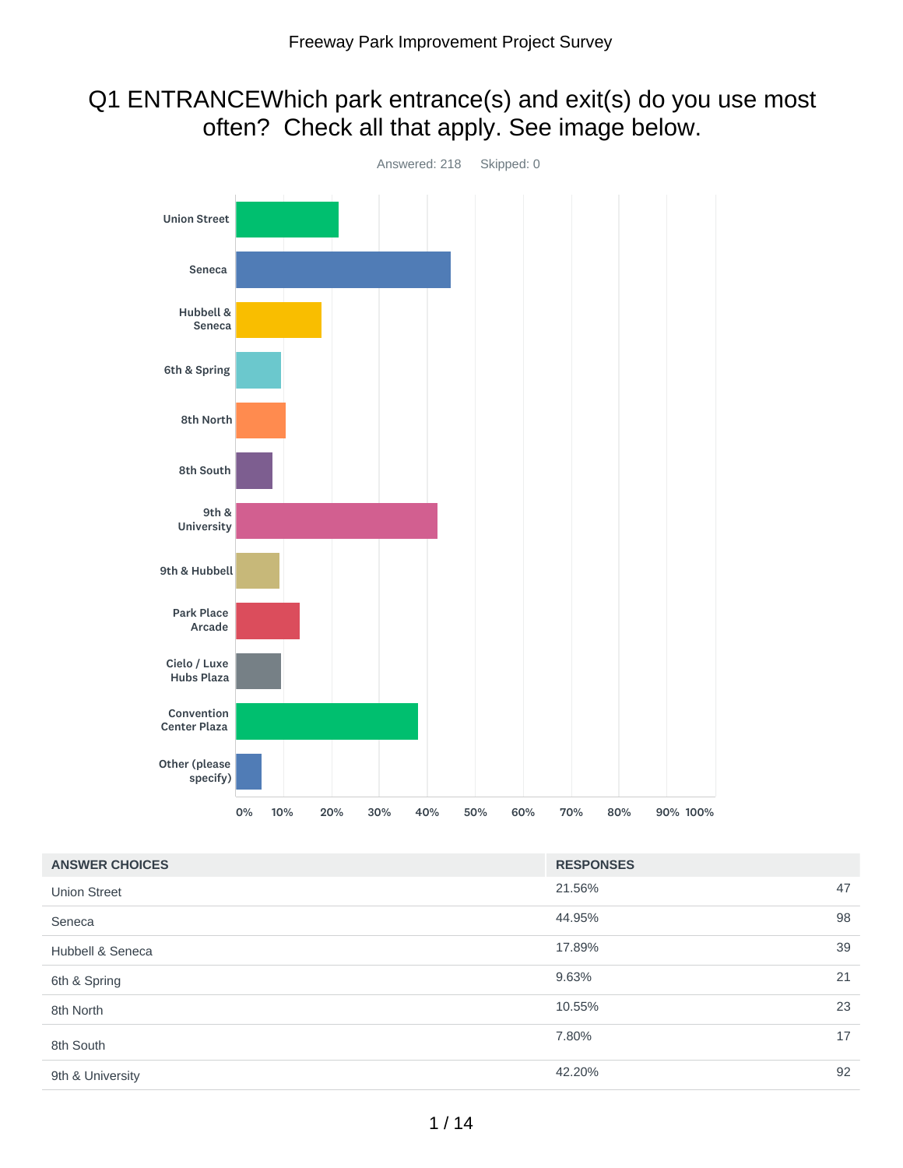## Q1 ENTRANCEWhich park entrance(s) and exit(s) do you use most often? Check all that apply. See image below.



| <b>ANSWER CHOICES</b> | <b>RESPONSES</b> |    |
|-----------------------|------------------|----|
| <b>Union Street</b>   | 21.56%           | 47 |
| Seneca                | 44.95%           | 98 |
| Hubbell & Seneca      | 17.89%           | 39 |
| 6th & Spring          | 9.63%            | 21 |
| 8th North             | 10.55%           | 23 |
| 8th South             | 7.80%            | 17 |
| 9th & University      | 42.20%           | 92 |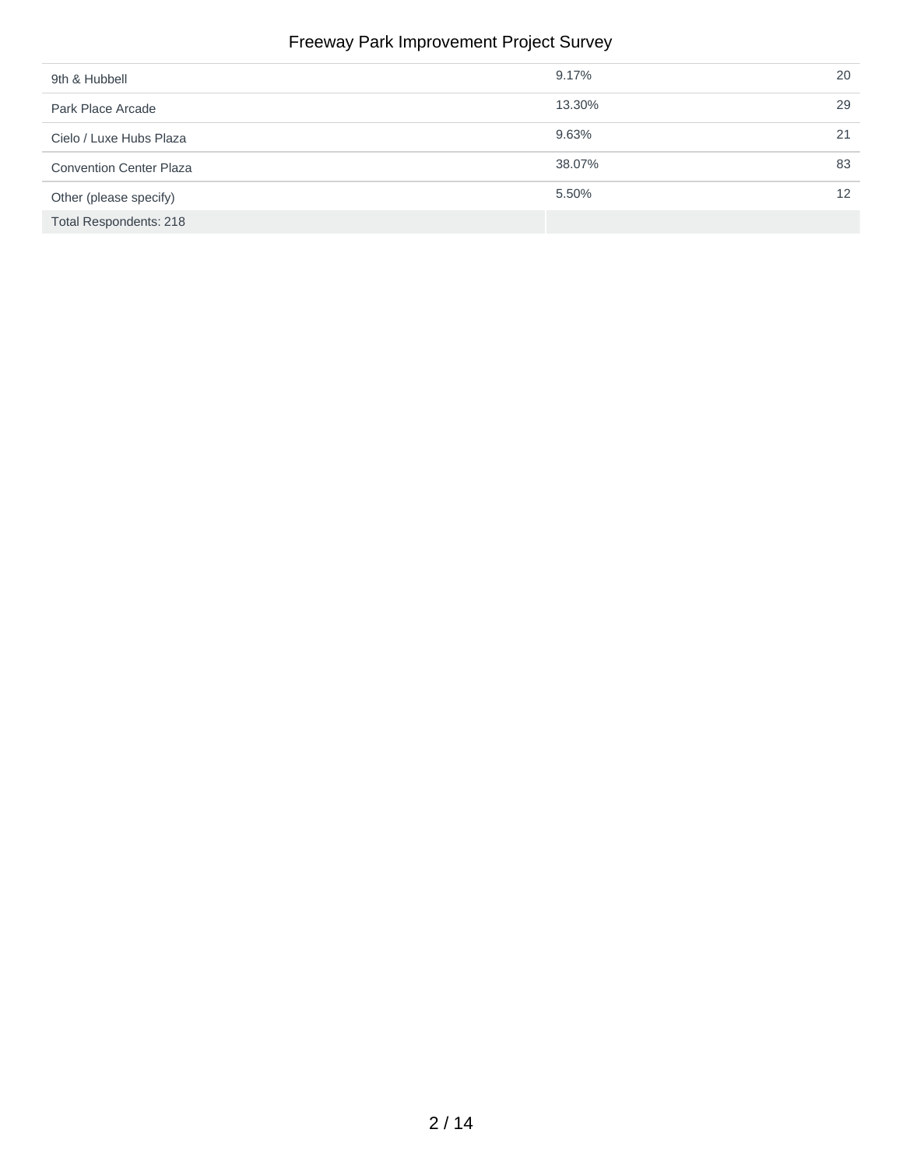#### Freeway Park Improvement Project Survey

| 9th & Hubbell                  | 9.17%  | 20 |
|--------------------------------|--------|----|
| Park Place Arcade              | 13.30% | 29 |
| Cielo / Luxe Hubs Plaza        | 9.63%  | 21 |
| <b>Convention Center Plaza</b> | 38.07% | 83 |
| Other (please specify)         | 5.50%  | 12 |
| Total Respondents: 218         |        |    |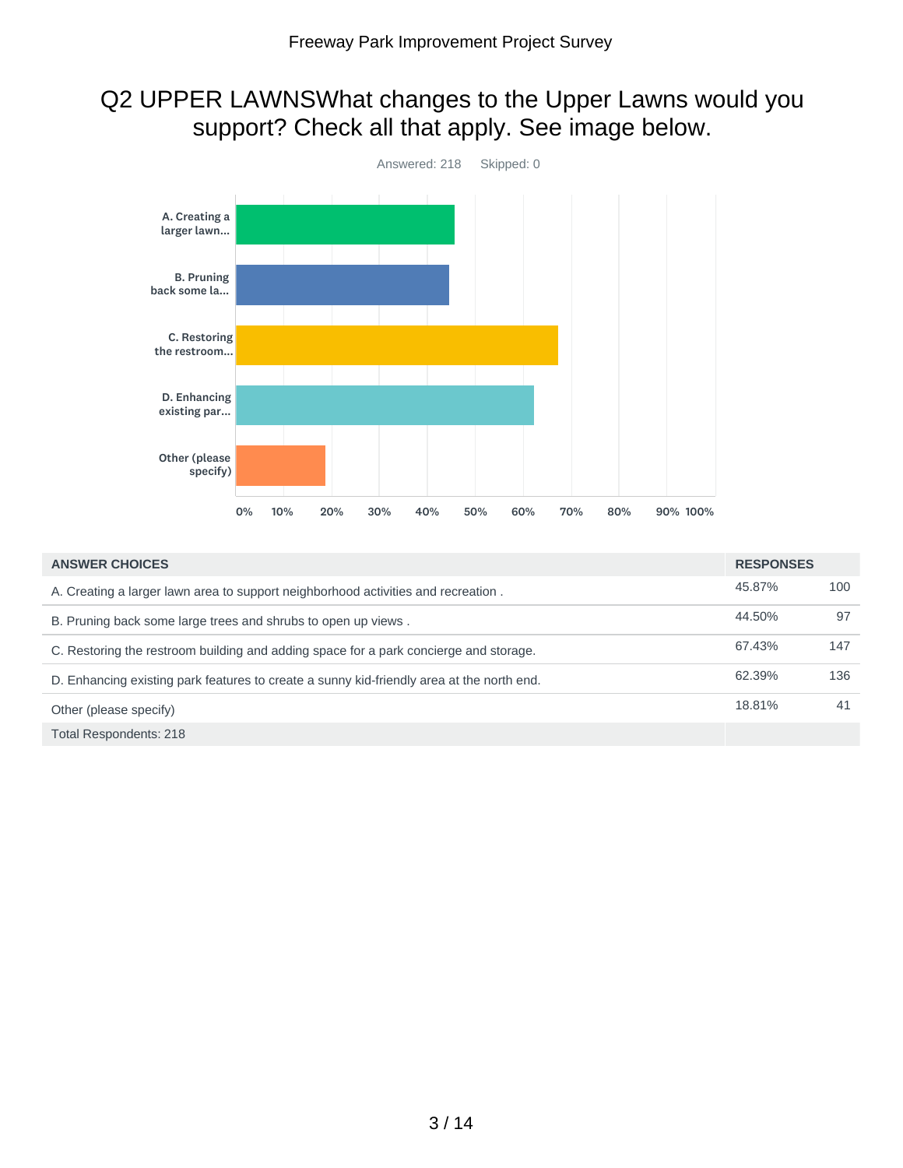## Q2 UPPER LAWNSWhat changes to the Upper Lawns would you support? Check all that apply. See image below.



| <b>ANSWER CHOICES</b>                                                                     | <b>RESPONSES</b> |     |
|-------------------------------------------------------------------------------------------|------------------|-----|
| A. Creating a larger lawn area to support neighborhood activities and recreation.         | 45.87%           | 100 |
| B. Pruning back some large trees and shrubs to open up views.                             | 44.50%           | 97  |
| C. Restoring the restroom building and adding space for a park concierge and storage.     | 67.43%           | 147 |
| D. Enhancing existing park features to create a sunny kid-friendly area at the north end. | 62.39%           | 136 |
| Other (please specify)                                                                    | 18.81%           | 41  |
| <b>Total Respondents: 218</b>                                                             |                  |     |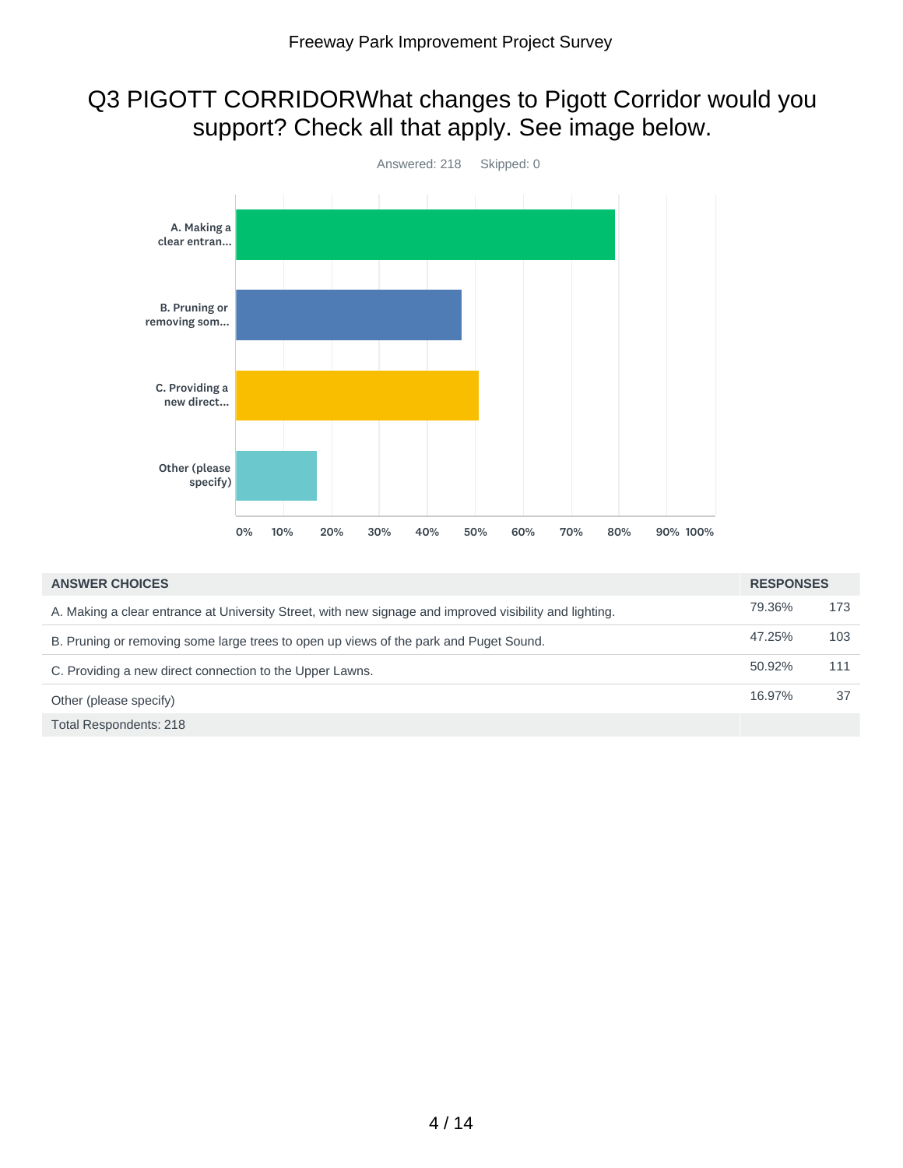## Q3 PIGOTT CORRIDORWhat changes to Pigott Corridor would you support? Check all that apply. See image below.



| <b>ANSWER CHOICES</b>                                                                                   | <b>RESPONSES</b> |     |
|---------------------------------------------------------------------------------------------------------|------------------|-----|
| A. Making a clear entrance at University Street, with new signage and improved visibility and lighting. | 79.36%           | 173 |
| B. Pruning or removing some large trees to open up views of the park and Puget Sound.                   | 47.25%           | 103 |
| C. Providing a new direct connection to the Upper Lawns.                                                | 50.92%           | 111 |
| Other (please specify)                                                                                  | 16.97%           | 37  |
| Total Respondents: 218                                                                                  |                  |     |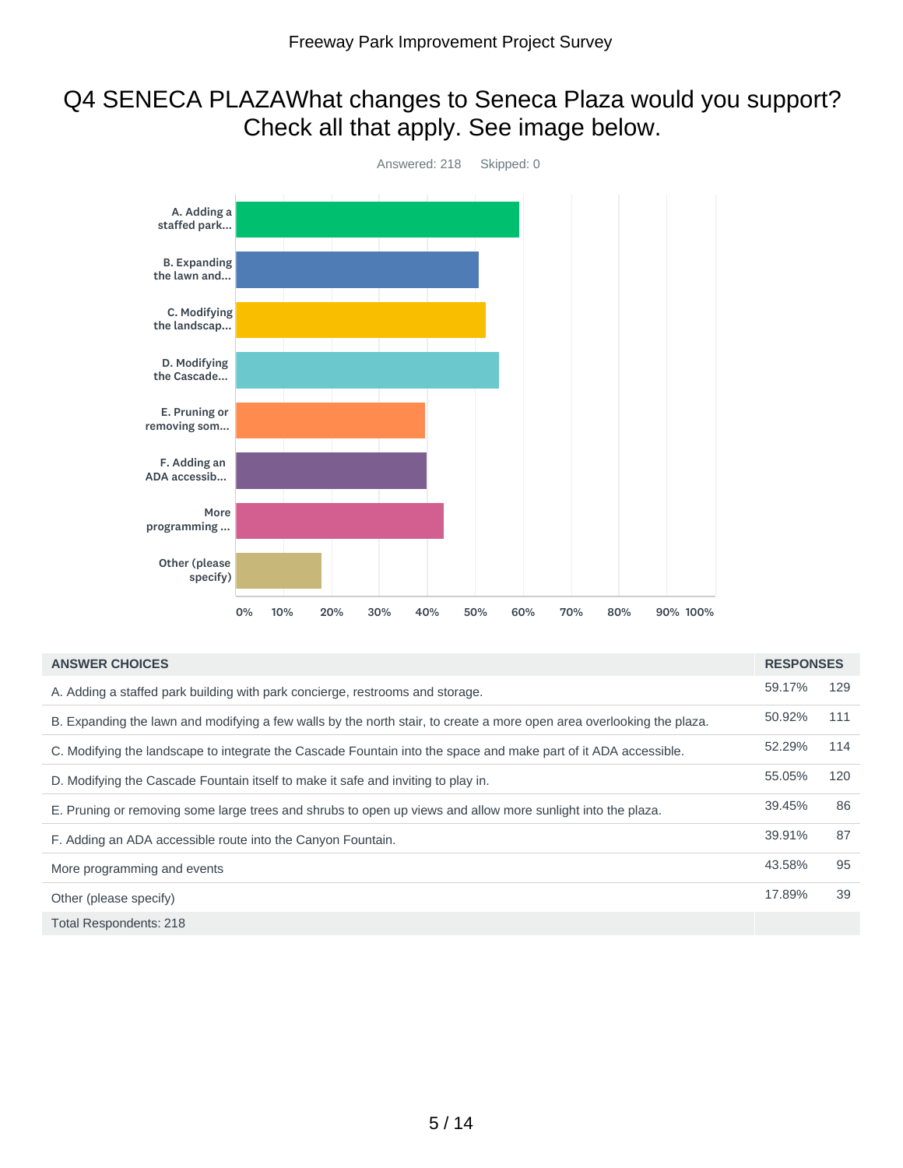## Q4 SENECA PLAZAWhat changes to Seneca Plaza would you support? Check all that apply. See image below.



| <b>ANSWER CHOICES</b>                                                                                                 | <b>RESPONSES</b> |     |
|-----------------------------------------------------------------------------------------------------------------------|------------------|-----|
| A. Adding a staffed park building with park concierge, restrooms and storage.                                         | 59.17%           | 129 |
| B. Expanding the lawn and modifying a few walls by the north stair, to create a more open area overlooking the plaza. | 50.92%           | 111 |
| C. Modifying the landscape to integrate the Cascade Fountain into the space and make part of it ADA accessible.       | 52.29%           | 114 |
| D. Modifying the Cascade Fountain itself to make it safe and inviting to play in.                                     | 55.05%           | 120 |
| E. Pruning or removing some large trees and shrubs to open up views and allow more sunlight into the plaza.           | 39.45%           | 86  |
| F. Adding an ADA accessible route into the Canyon Fountain.                                                           | 39.91%           | 87  |
| More programming and events                                                                                           | 43.58%           | 95  |
| Other (please specify)                                                                                                | 17.89%           | 39  |
| <b>Total Respondents: 218</b>                                                                                         |                  |     |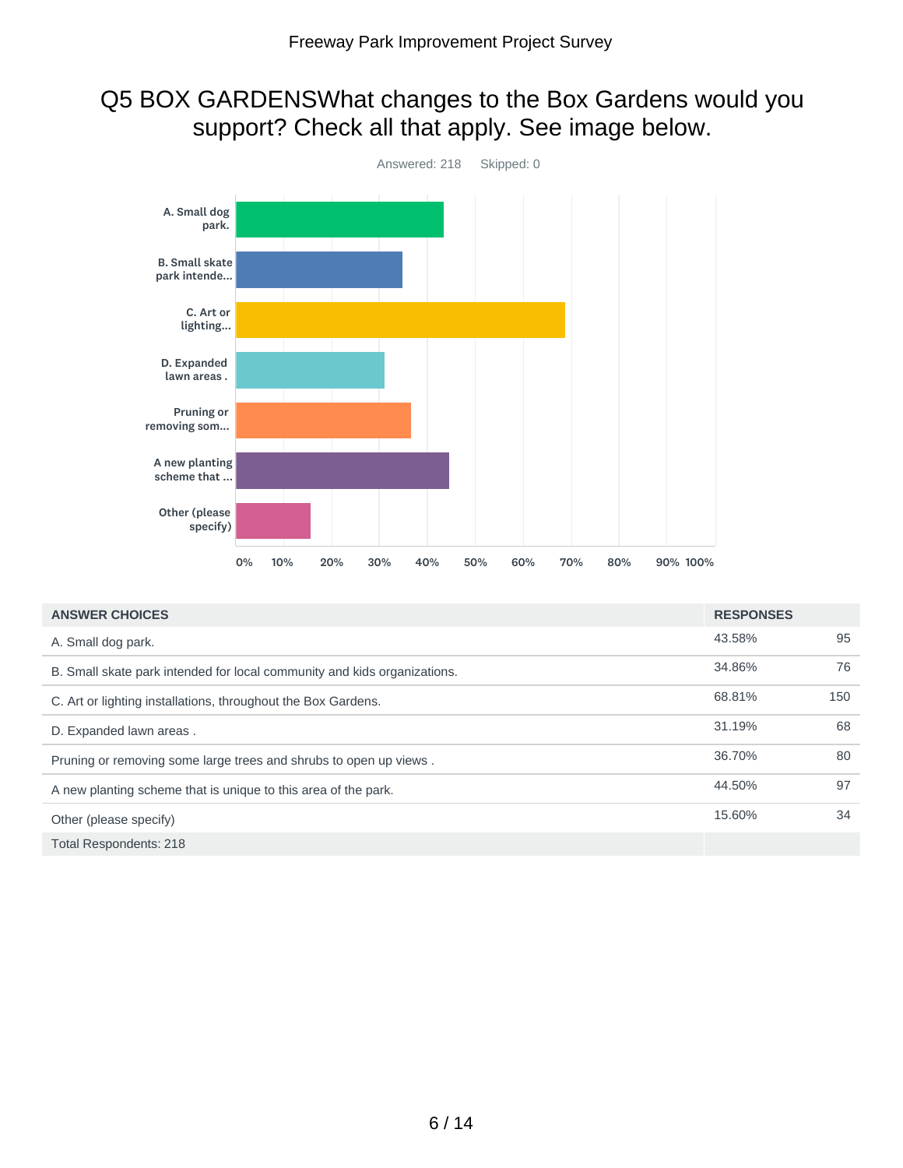## Q5 BOX GARDENSWhat changes to the Box Gardens would you support? Check all that apply. See image below.



| <b>ANSWER CHOICES</b>                                                    | <b>RESPONSES</b> |     |
|--------------------------------------------------------------------------|------------------|-----|
| A. Small dog park.                                                       | 43.58%           | 95  |
| B. Small skate park intended for local community and kids organizations. | 34.86%           | 76  |
| C. Art or lighting installations, throughout the Box Gardens.            | 68.81%           | 150 |
| D. Expanded lawn areas.                                                  | 31.19%           | 68  |
| Pruning or removing some large trees and shrubs to open up views.        | 36.70%           | 80  |
| A new planting scheme that is unique to this area of the park.           | 44.50%           | 97  |
| Other (please specify)                                                   | 15.60%           | 34  |
| <b>Total Respondents: 218</b>                                            |                  |     |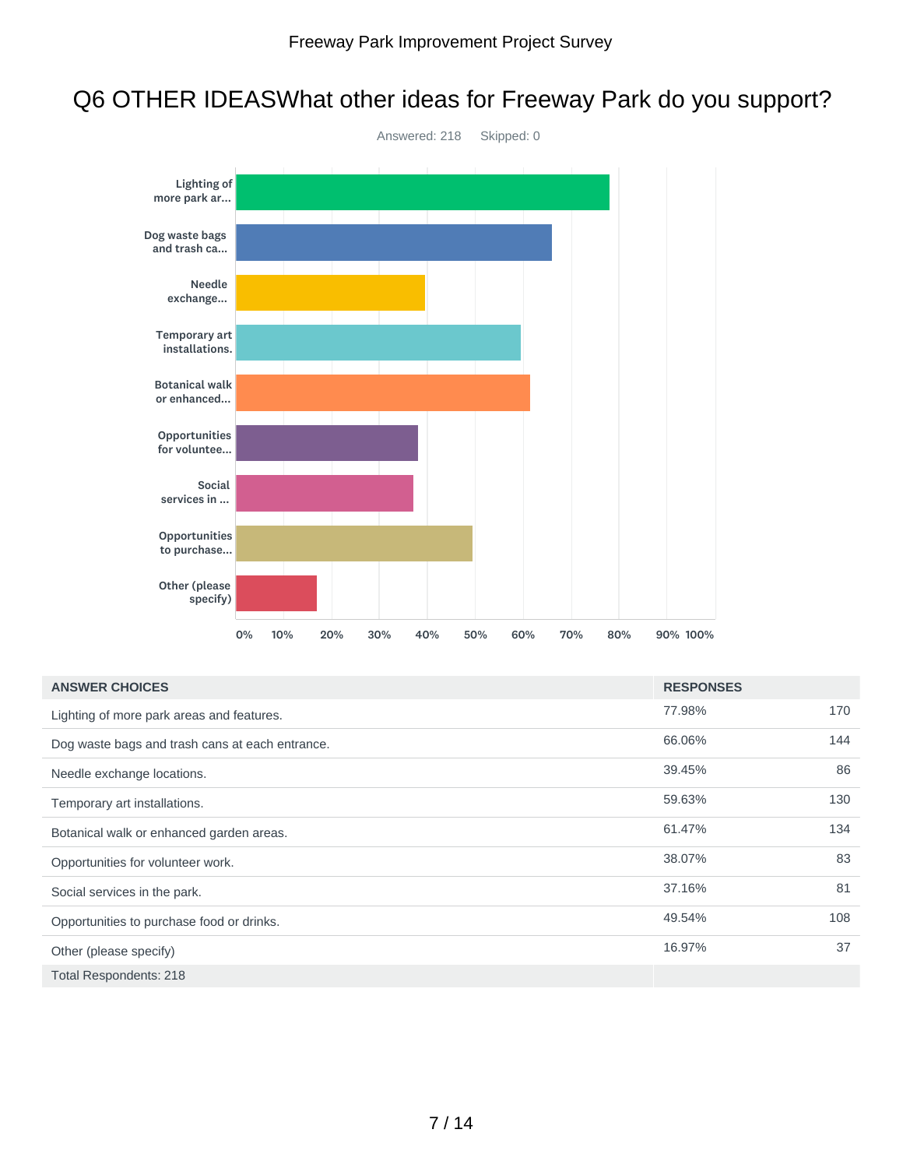## Q6 OTHER IDEASWhat other ideas for Freeway Park do you support?



| <b>ANSWER CHOICES</b>                           | <b>RESPONSES</b> |     |
|-------------------------------------------------|------------------|-----|
| Lighting of more park areas and features.       | 77.98%           | 170 |
| Dog waste bags and trash cans at each entrance. | 66.06%           | 144 |
| Needle exchange locations.                      | 39.45%           | 86  |
| Temporary art installations.                    | 59.63%           | 130 |
| Botanical walk or enhanced garden areas.        | 61.47%           | 134 |
| Opportunities for volunteer work.               | 38.07%           | 83  |
| Social services in the park.                    | 37.16%           | 81  |
| Opportunities to purchase food or drinks.       | 49.54%           | 108 |
| Other (please specify)                          | 16.97%           | 37  |
| <b>Total Respondents: 218</b>                   |                  |     |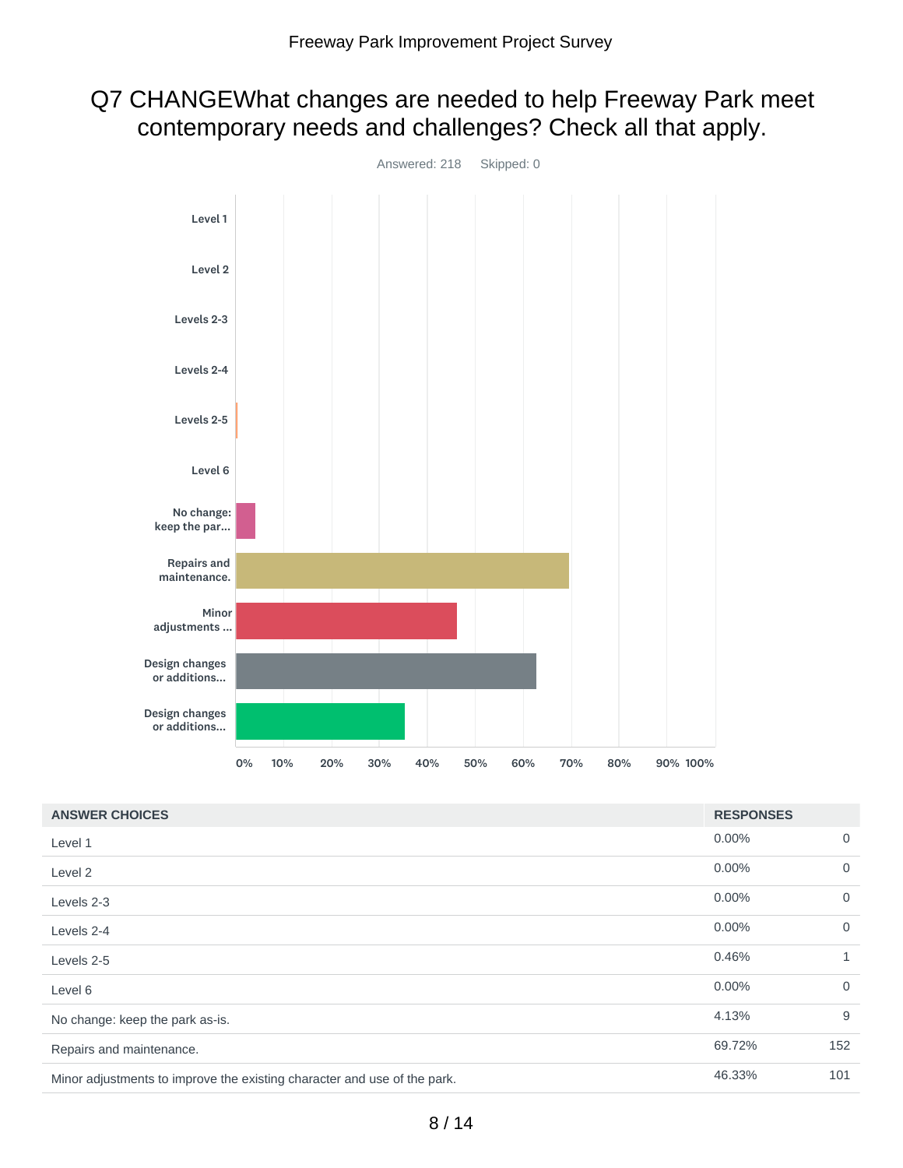## Q7 CHANGEWhat changes are needed to help Freeway Park meet contemporary needs and challenges? Check all that apply.



| <b>ANSWER CHOICES</b>                                                    | <b>RESPONSES</b> |                |
|--------------------------------------------------------------------------|------------------|----------------|
| Level 1                                                                  | 0.00%            | $\mathbf 0$    |
| Level 2                                                                  | 0.00%            | $\overline{0}$ |
| Levels 2-3                                                               | 0.00%            | $\overline{0}$ |
| Levels 2-4                                                               | 0.00%            | $\overline{0}$ |
| Levels 2-5                                                               | 0.46%            | $\mathbf{1}$   |
| Level 6                                                                  | 0.00%            | $\overline{0}$ |
| No change: keep the park as-is.                                          | 4.13%            | 9              |
| Repairs and maintenance.                                                 | 69.72%           | 152            |
| Minor adjustments to improve the existing character and use of the park. | 46.33%           | 101            |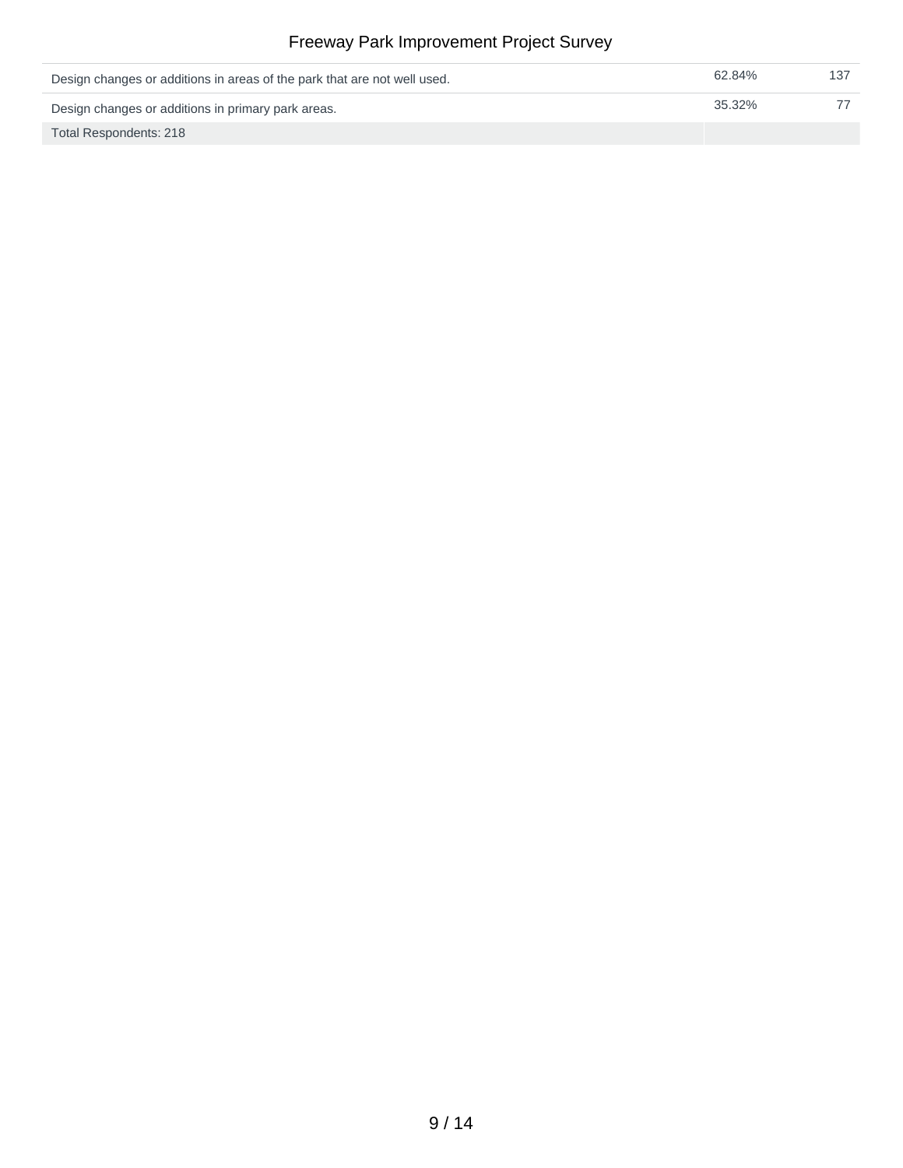| Design changes or additions in areas of the park that are not well used. | 62.84% |  |
|--------------------------------------------------------------------------|--------|--|
| Design changes or additions in primary park areas.                       | 35.32% |  |
| Total Respondents: 218                                                   |        |  |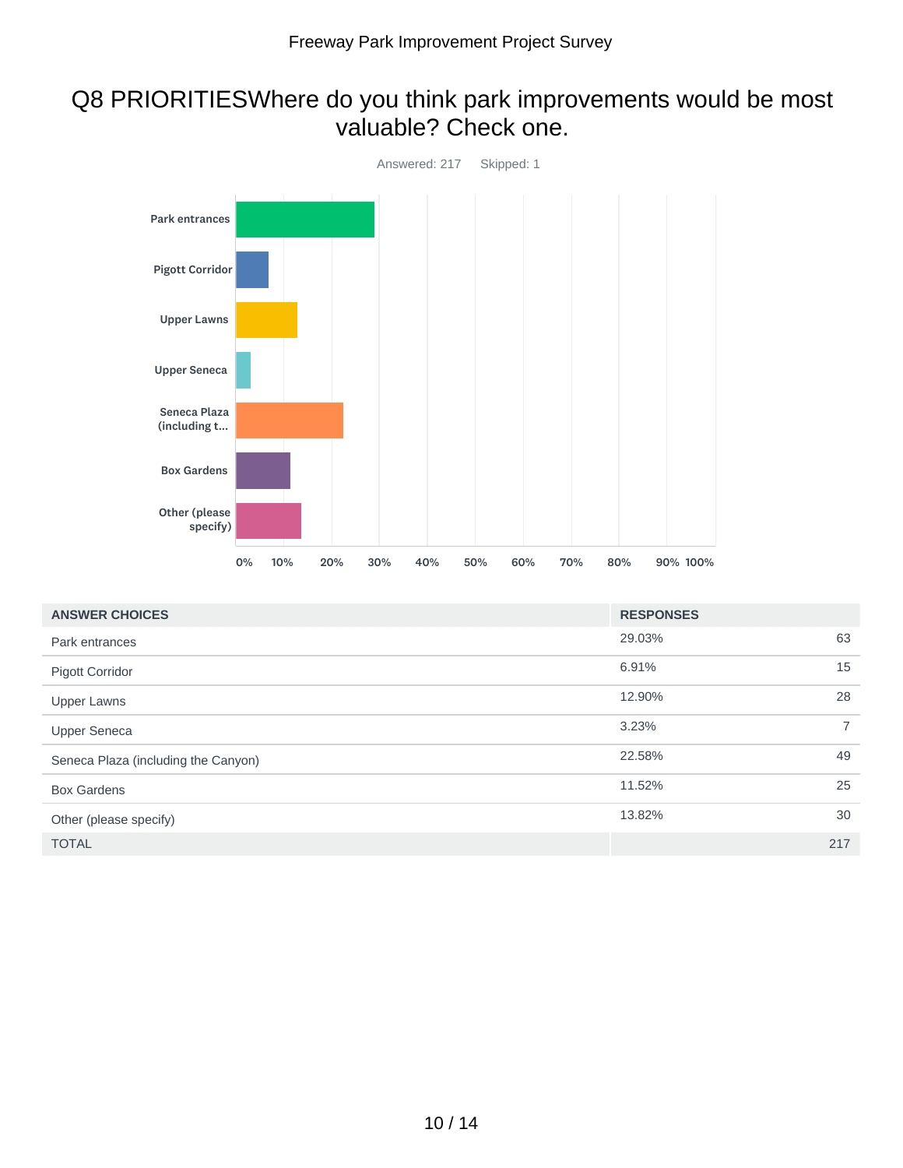## Q8 PRIORITIESWhere do you think park improvements would be most valuable? Check one.



| <b>ANSWER CHOICES</b>               | <b>RESPONSES</b> |                |
|-------------------------------------|------------------|----------------|
| Park entrances                      | 29.03%           | 63             |
| <b>Pigott Corridor</b>              | 6.91%            | 15             |
| <b>Upper Lawns</b>                  | 12.90%           | 28             |
| <b>Upper Seneca</b>                 | 3.23%            | $\overline{7}$ |
| Seneca Plaza (including the Canyon) | 22.58%           | 49             |
| <b>Box Gardens</b>                  | 11.52%           | 25             |
| Other (please specify)              | 13.82%           | 30             |
| <b>TOTAL</b>                        |                  | 217            |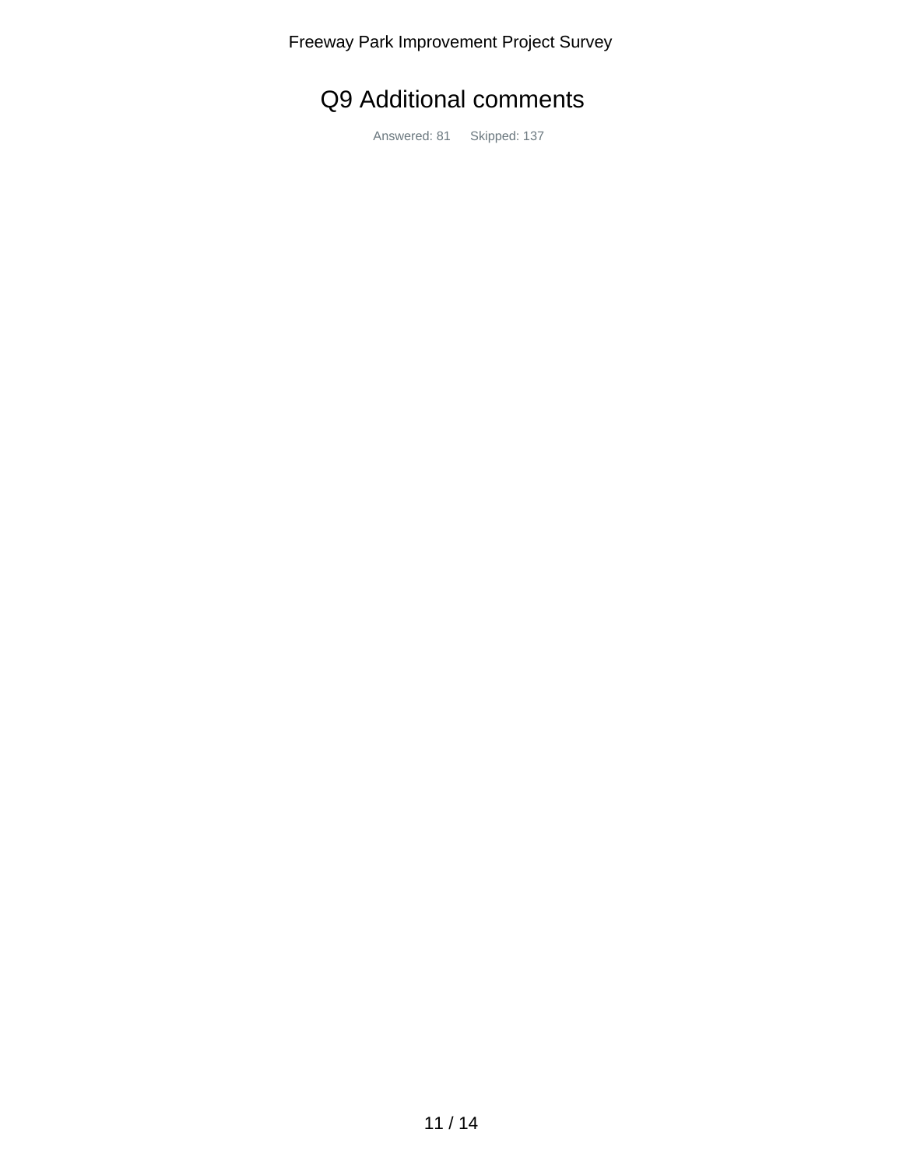Freeway Park Improvement Project Survey

# Q9 Additional comments

Answered: 81 Skipped: 137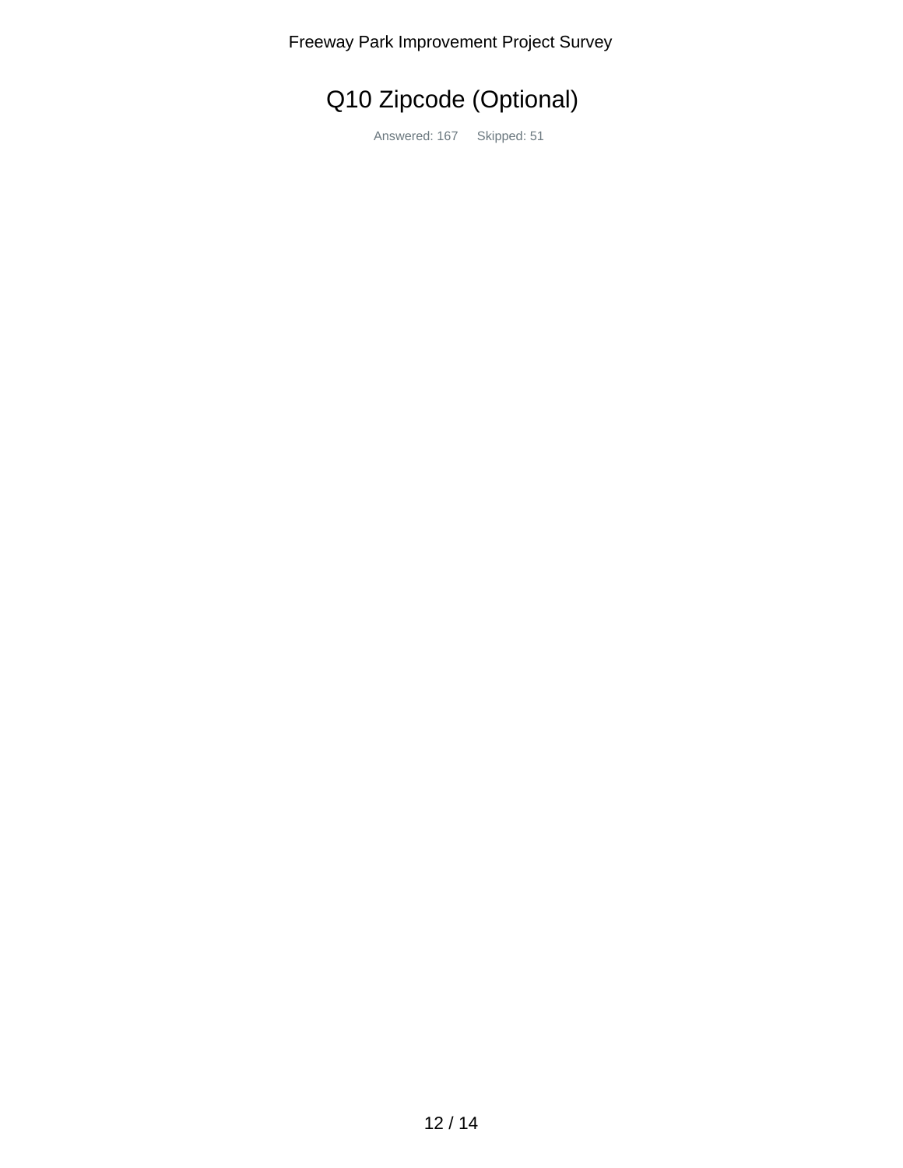Freeway Park Improvement Project Survey

Q10 Zipcode (Optional)

Answered: 167 Skipped: 51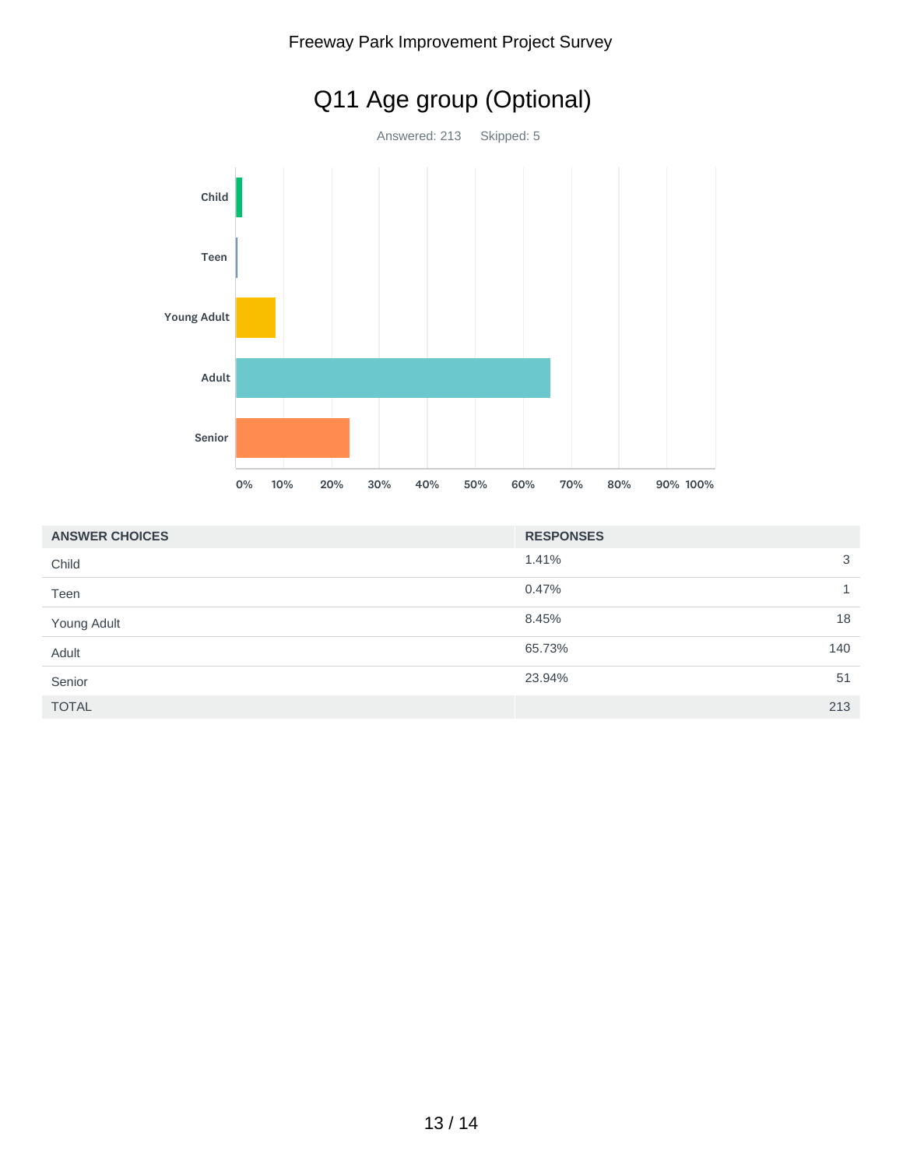

|  |  | Freeway Park Improvement Project Survey |
|--|--|-----------------------------------------|
|--|--|-----------------------------------------|

| <b>ANSWER CHOICES</b> | <b>RESPONSES</b> |   |
|-----------------------|------------------|---|
| Child                 | 1.41%            | 3 |
| Teen                  | 0.47%            |   |
| Young Adult           | 8.45%<br>18      |   |
| Adult                 | 65.73%<br>140    |   |
| Senior                | 23.94%<br>51     |   |
| <b>TOTAL</b>          | 213              |   |